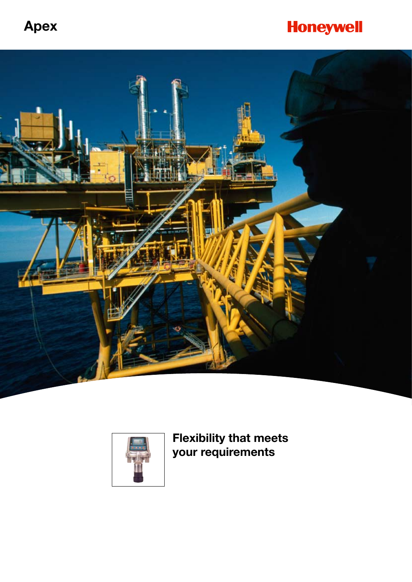# **Apex**

# **Honeywell**





**Flexibility that meets your requirements**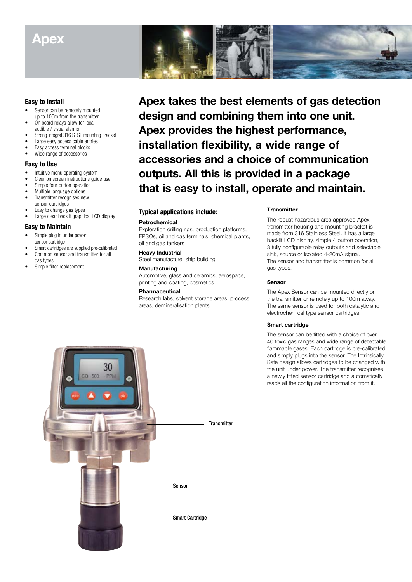# **Apex**

# **Easy to Install**

- Sensor can be remotely mounted up to 100m from the transmitter
- On board relays allow for local audible / visual alarms
- Strong integral 316 STST mounting bracket
- Large easy access cable entries
- Easy access terminal blocks
- Wide range of accessories

## **Easy to Use**

- Intuitive menu operating system
- Clear on screen instructions guide user
- Simple four button operation
- Multiple language options Transmitter recognises new sensor cartridges
- Easy to change gas types
- Large clear backlit graphical LCD display

### **Easy to Maintain**

- Simple plug in under power sensor cartridge
- Smart cartridges are supplied pre-calibrated • Common sensor and transmitter for all
- gas types
- Simple filter replacement



**Apex takes the best elements of gas detection design and combining them into one unit. Apex provides the highest performance, installation flexibility, a wide range of accessories and a choice of communication outputs. All this is provided in a package that is easy to install, operate and maintain.**

## **Typical applications include:**

### **Petrochemical**

Exploration drilling rigs, production platforms, FPSOs, oil and gas terminals, chemical plants, oil and gas tankers

### **Heavy Industrial**

Steel manufacture, ship building

## **Manufacturing**

Automotive, glass and ceramics, aerospace, printing and coating, cosmetics

### **Pharmaceutical**

Research labs, solvent storage areas, process areas, demineralisation plants

### **Transmitter**

The robust hazardous area approved Apex transmitter housing and mounting bracket is made from 316 Stainless Steel. It has a large backlit LCD display, simple 4 button operation, 3 fully configurable relay outputs and selectable sink, source or isolated 4-20mA signal. The sensor and transmitter is common for all gas types.

#### **Sensor**

The Apex Sensor can be mounted directly on the transmitter or remotely up to 100m away. The same sensor is used for both catalytic and electrochemical type sensor cartridges.

### **Smart cartridge**

The sensor can be fitted with a choice of over 40 toxic gas ranges and wide range of detectable flammable gases. Each cartridge is pre-calibrated and simply plugs into the sensor. The Intrinsically Safe design allows cartridges to be changed with the unit under power. The transmitter recognises a newly fitted sensor cartridge and automatically reads all the configuration information from it.

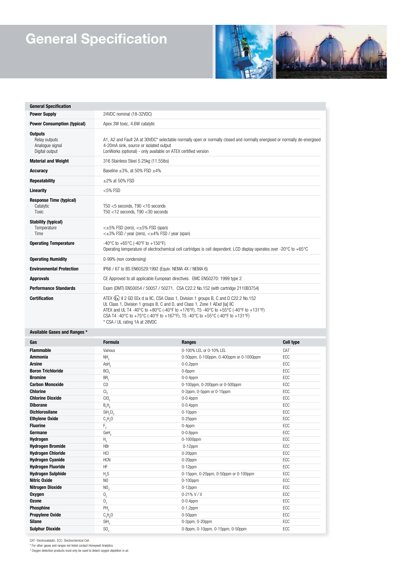# **General Specification**



| <b>Power Supply</b><br>24VDC nominal (18-32VDC)<br><b>Power Consumption (typical)</b><br>Apex 3W toxic, 4.6W catalytic<br><b>Outputs</b>                                                                                                                                                                                                                                                                              |  |
|-----------------------------------------------------------------------------------------------------------------------------------------------------------------------------------------------------------------------------------------------------------------------------------------------------------------------------------------------------------------------------------------------------------------------|--|
|                                                                                                                                                                                                                                                                                                                                                                                                                       |  |
|                                                                                                                                                                                                                                                                                                                                                                                                                       |  |
| A1, A2 and Fault 2A at 30VDC* selectable normally open or normally closed and normally energised or normally de-energised<br>Relay outputs<br>Analogue signal<br>4-20mA sink, source or isolated output<br>Digital output<br>LonWorks (optional) - only available on ATEX certified version                                                                                                                           |  |
| <b>Material and Weight</b><br>316 Stainless Steel 5.25kg (11.55lbs)                                                                                                                                                                                                                                                                                                                                                   |  |
| Baseline $\pm 3\%$ , at 50% FSD $\pm 4\%$<br>Accuracy                                                                                                                                                                                                                                                                                                                                                                 |  |
| $+2\%$ at 50% FSD<br>Repeatability                                                                                                                                                                                                                                                                                                                                                                                    |  |
| $<$ 5% FSD<br>Linearity                                                                                                                                                                                                                                                                                                                                                                                               |  |
| <b>Response Time (typical)</b><br>$T50 < 5$ seconds. T90 $<$ 10 seconds<br>Catalytic<br>$T50$ <12 seconds. $T90$ <30 seconds<br>Toxic                                                                                                                                                                                                                                                                                 |  |
| <b>Stability (typical)</b><br>Temperature<br>$\lt\pm5\%$ FSD (zero), $\lt\pm5\%$ FSD (span)<br>$\leq \pm 3\%$ FSD / year (zero), $\leq \pm 4\%$ FSD / year (span)<br>Time                                                                                                                                                                                                                                             |  |
| <b>Operating Temperature</b><br>-40°C to +65°C (-40°F to +150°F).<br>Operating temperature of electrochemical cell cartridges is cell dependent. LCD display operates over -20°C to +65°C                                                                                                                                                                                                                             |  |
| <b>Operating Humidity</b><br>0-99% (non condensing)                                                                                                                                                                                                                                                                                                                                                                   |  |
| <b>Environmental Protection</b><br>IP66 / 67 to BS EN60529:1992 (Equiv. NEMA 4X / NEMA 6)                                                                                                                                                                                                                                                                                                                             |  |
| <b>Approvals</b><br>CE Approved to all applicable European directives. EMC EN50270: 1999 type 2                                                                                                                                                                                                                                                                                                                       |  |
| <b>Performance Standards</b><br>Exam (DMT) EN50054 / 50057 / 50271. CSA C22.2 No.152 (with cartridge 2110B3754)                                                                                                                                                                                                                                                                                                       |  |
| ATEX $\langle x \rangle$ II 2 GD EEx d ia IIC, CSA Class 1, Division 1 groups B, C and D C22.2 No.152<br><b>Certification</b><br>UL Class 1, Division 1 groups B, C and D, and Class 1, Zone 1 AExd [ia] IIC<br>ATEX and UL T4 -40°C to +80°C (-40°F to +176°F), T5 -40°C to +55°C (-40°F to +131°F)<br>CSA T4 -40°C to +75°C (-40°F to +167°F), T5 -40°C to +55°C (-40°F to +131°F)<br>* CSA / UL rating 1A at 28VDC |  |

#### **Available Gases and Ranges \***

| Gas                      | <b>Formula</b>                   | Ranges                                   | <b>Cell type</b> |
|--------------------------|----------------------------------|------------------------------------------|------------------|
| <b>Flammable</b>         | Various                          | 0-100% LEL or 0-10% LEL                  | CAT              |
| <b>Ammonia</b>           | NH <sub>2</sub>                  | 0-50ppm, 0-100ppm, 0-400ppm or 0-1000ppm | ECC              |
| <b>Arsine</b>            | AsH <sub>2</sub>                 | $0-0.2$ ppm                              | ECC              |
| <b>Boron Trichloride</b> | BCI <sub>2</sub>                 | 0-6ppm                                   | ECC              |
| <b>Bromine</b>           | BR,                              | $0-0.4$ ppm                              | ECC              |
| <b>Carbon Monoxide</b>   | CO                               | 0-100ppm, 0-200ppm or 0-500ppm           | ECC              |
| <b>Chlorine</b>          | $Cl_{2}$                         | 0-2ppm, 0-5ppm or 0-15ppm                | ECC              |
| <b>Chlorine Dioxide</b>  | ClO <sub>2</sub>                 | $0-0.4$ ppm                              | ECC              |
| <b>Diborane</b>          | $B_2H_6$                         | $0-0.4$ ppm                              | ECC              |
| <b>Dichlorosilane</b>    | SiH <sub>2</sub> Cl <sub>2</sub> | $0-10$ ppm                               | ECC              |
| <b>Ethylene Oxide</b>    | $C_2H_4O$                        | $0-25$ ppm                               | ECC              |
| <b>Fluorine</b>          | $\mathsf{F}_{_2}$                | $0-4$ ppm                                | ECC              |
| Germane                  | GeH                              | $0-0.8$ ppm                              | ECC              |
| Hydrogen                 | Н,                               | 0-1000ppm                                | ECC              |
| <b>Hydrogen Bromide</b>  | HBr                              | $0-12$ ppm                               | ECC              |
| <b>Hydrogen Chloride</b> | HCI                              | $0-20$ ppm                               | ECC              |
| <b>Hydrogen Cyanide</b>  | <b>HCN</b>                       | $0-20$ ppm                               | ECC              |
| <b>Hydrogen Fluoride</b> | HF                               | $0-12$ ppm                               | ECC              |
| <b>Hydrogen Sulphide</b> | H <sub>2</sub> S                 | 0-15ppm, 0-20ppm, 0-50ppm or 0-100ppm    | ECC              |
| <b>Nitric Oxide</b>      | N <sub>O</sub>                   | $0-100$ ppm                              | ECC              |
| Nitrogen Dioxide         | NO <sub>2</sub>                  | $0-12$ ppm                               | ECC              |
| Oxygen                   | 0 <sub>2</sub>                   | $0-21\%$ V / V                           | ECC              |
| <b>Ozone</b>             | $0_{_3}$                         | $0-0.4$ ppm                              | ECC              |
| <b>Phosphine</b>         | PH <sub>2</sub>                  | $0-1.2$ ppm                              | ECC              |
| <b>Propylene Oxide</b>   | $C_3H_6O$                        | $0-50$ ppm                               | ECC              |
| <b>Silane</b>            | SiH                              | 0-2ppm, 0-20ppm                          | ECC              |
| <b>Sulphur Dioxide</b>   | SO <sub>2</sub>                  | 0-8ppm, 0-10ppm, 0-15ppm, 0-50ppm        | ECC              |

CAT- Electrocatalytic, ECC- Electrochemical Cell. \* For other gases and ranges not listed contact Honeywell Analytics. \* Oxygen detection products must only be used to detect oxygen depletion in air.